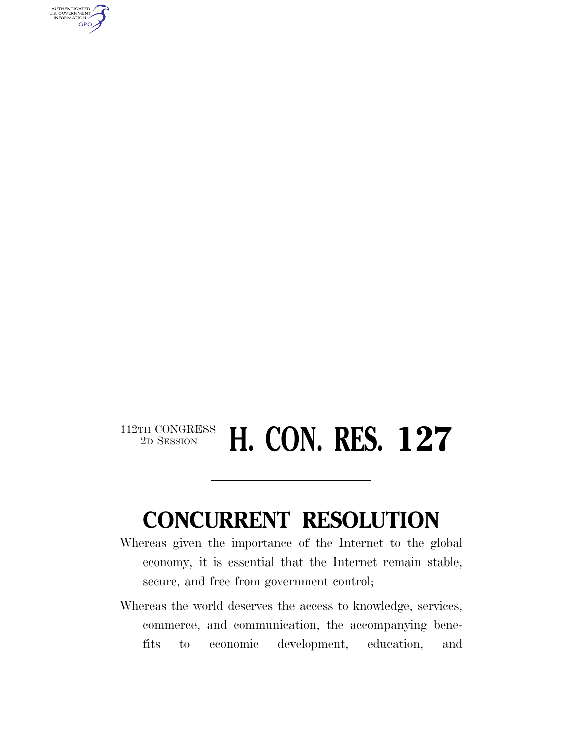AUTHENTICATED<br>U.S. GOVERNMENT<br>INFORMATION GPO

## <sup>112TH CONGRESS</sup> **H. CON. RES. 127**

## **CONCURRENT RESOLUTION**

- Whereas given the importance of the Internet to the global economy, it is essential that the Internet remain stable, secure, and free from government control;
- Whereas the world deserves the access to knowledge, services, commerce, and communication, the accompanying benefits to economic development, education, and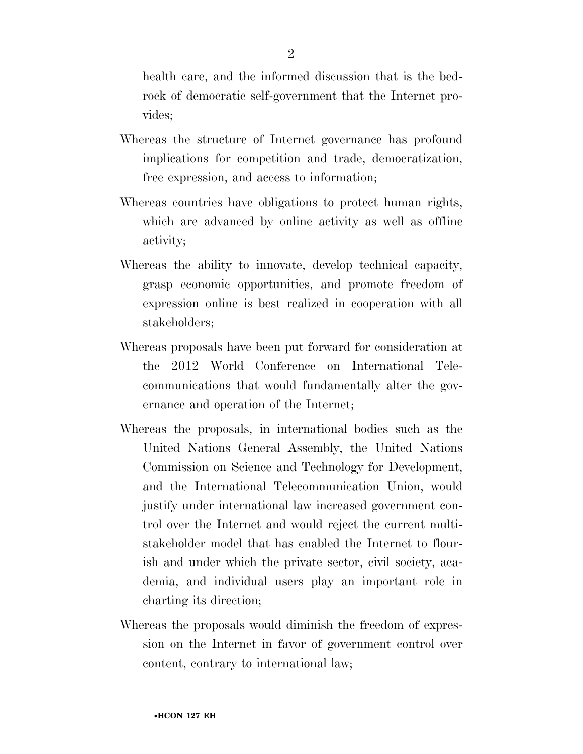health care, and the informed discussion that is the bedrock of democratic self-government that the Internet provides;

- Whereas the structure of Internet governance has profound implications for competition and trade, democratization, free expression, and access to information;
- Whereas countries have obligations to protect human rights, which are advanced by online activity as well as offline activity;
- Whereas the ability to innovate, develop technical capacity, grasp economic opportunities, and promote freedom of expression online is best realized in cooperation with all stakeholders;
- Whereas proposals have been put forward for consideration at the 2012 World Conference on International Telecommunications that would fundamentally alter the governance and operation of the Internet;
- Whereas the proposals, in international bodies such as the United Nations General Assembly, the United Nations Commission on Science and Technology for Development, and the International Telecommunication Union, would justify under international law increased government control over the Internet and would reject the current multistakeholder model that has enabled the Internet to flourish and under which the private sector, civil society, academia, and individual users play an important role in charting its direction;
- Whereas the proposals would diminish the freedom of expression on the Internet in favor of government control over content, contrary to international law;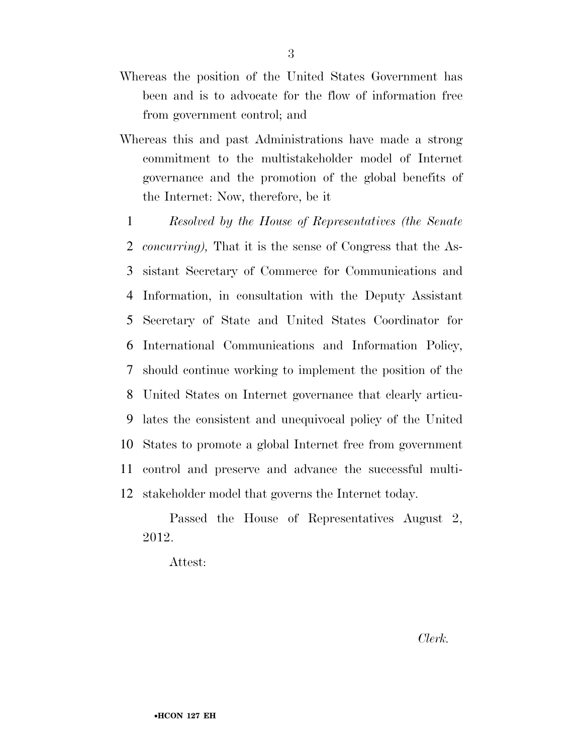- Whereas the position of the United States Government has been and is to advocate for the flow of information free from government control; and
- Whereas this and past Administrations have made a strong commitment to the multistakeholder model of Internet governance and the promotion of the global benefits of the Internet: Now, therefore, be it
- 1 *Resolved by the House of Representatives (the Senate*  2 *concurring),* That it is the sense of Congress that the As-3 sistant Secretary of Commerce for Communications and 4 Information, in consultation with the Deputy Assistant 5 Secretary of State and United States Coordinator for 6 International Communications and Information Policy, 7 should continue working to implement the position of the 8 United States on Internet governance that clearly articu-9 lates the consistent and unequivocal policy of the United 10 States to promote a global Internet free from government 11 control and preserve and advance the successful multi-12 stakeholder model that governs the Internet today.

Passed the House of Representatives August 2, 2012.

Attest:

*Clerk.*